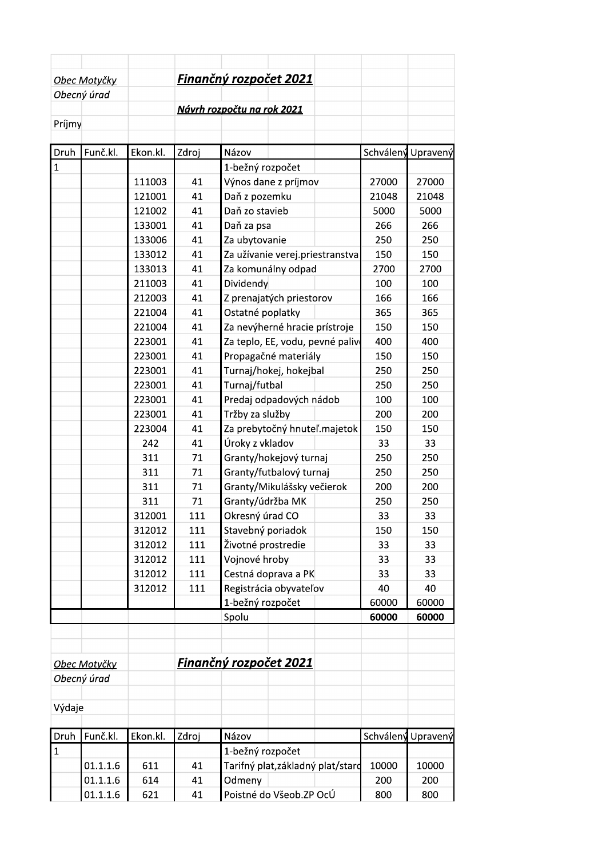|              | Obec Motyčky |          |       | Finančný rozpočet 2021     |                                  |           |          |
|--------------|--------------|----------|-------|----------------------------|----------------------------------|-----------|----------|
|              | Obecný úrad  |          |       |                            |                                  |           |          |
|              |              |          |       | Návrh rozpočtu na rok 2021 |                                  |           |          |
| Príjmy       |              |          |       |                            |                                  |           |          |
| Druh         | Funč.kl.     | Ekon.kl. | Zdroj | Názov                      |                                  | Schválený | Upravený |
| $\mathbf{1}$ |              |          |       | 1-bežný rozpočet           |                                  |           |          |
|              |              | 111003   | 41    |                            | Výnos dane z príjmov             | 27000     | 27000    |
|              |              | 121001   | 41    | Daň z pozemku              |                                  | 21048     | 21048    |
|              |              | 121002   | 41    | Daň zo stavieb             |                                  | 5000      | 5000     |
|              |              | 133001   | 41    | Daň za psa                 |                                  | 266       | 266      |
|              |              | 133006   | 41    | Za ubytovanie              |                                  | 250       | 250      |
|              |              | 133012   | 41    |                            | Za užívanie verej.priestranstva  | 150       | 150      |
|              |              | 133013   | 41    |                            | Za komunálny odpad               | 2700      | 2700     |
|              |              | 211003   | 41    | Dividendy                  |                                  | 100       | 100      |
|              |              | 212003   | 41    |                            | Z prenajatých priestorov         | 166       | 166      |
|              |              | 221004   | 41    | Ostatné poplatky           |                                  | 365       | 365      |
|              |              | 221004   | 41    |                            | Za nevýherné hracie prístroje    | 150       | 150      |
|              |              | 223001   | 41    |                            | Za teplo, EE, vodu, pevné paliv  | 400       | 400      |
|              |              | 223001   | 41    |                            | Propagačné materiály             | 150       | 150      |
|              |              | 223001   | 41    |                            | Turnaj/hokej, hokejbal           | 250       | 250      |
|              |              | 223001   | 41    | Turnaj/futbal              |                                  | 250       | 250      |
|              |              | 223001   | 41    |                            | Predaj odpadových nádob          | 100       | 100      |
|              |              | 223001   | 41    | Tržby za služby            |                                  | 200       | 200      |
|              |              | 223004   | 41    |                            | Za prebytočný hnuteľ.majetok     | 150       | 150      |
|              |              | 242      | 41    | Úroky z vkladov            |                                  | 33        | 33       |
|              |              | 311      | 71    |                            | Granty/hokejový turnaj           | 250       | 250      |
|              |              | 311      | 71    |                            | Granty/futbalový turnaj          | 250       | 250      |
|              |              | 311      | 71    |                            | Granty/Mikulášsky večierok       | 200       | 200      |
|              |              | 311      | 71    | Granty/údržba MK           |                                  | 250       | 250      |
|              |              | 312001   | 111   | Okresný úrad CO            |                                  | 33        | 33       |
|              |              | 312012   | 111   | Stavebný poriadok          |                                  | 150       | 150      |
|              |              | 312012   | 111   | Životné prostredie         |                                  | 33        | 33       |
|              |              | 312012   | 111   | Vojnové hroby              |                                  | 33        | 33       |
|              |              | 312012   | 111   |                            | Cestná doprava a PK              | 33        | 33       |
|              |              | 312012   | 111   |                            | Registrácia obyvateľov           | 40        | 40       |
|              |              |          |       | 1-bežný rozpočet           |                                  | 60000     | 60000    |
|              |              |          |       | Spolu                      |                                  | 60000     | 60000    |
|              |              |          |       |                            |                                  |           |          |
|              |              |          |       |                            |                                  |           |          |
|              | Obec Motyčky |          |       | Finančný rozpočet 2021     |                                  |           |          |
|              | Obecný úrad  |          |       |                            |                                  |           |          |
| Výdaje       |              |          |       |                            |                                  |           |          |
|              |              |          |       |                            |                                  |           |          |
| Druh         | Funč.kl.     | Ekon.kl. | Zdroj | Názov                      |                                  | Schválený | Upravený |
| $\mathbf{1}$ |              |          |       | 1-bežný rozpočet           |                                  |           |          |
|              | 01.1.1.6     | 611      | 41    |                            | Tarifný plat,základný plat/stard | 10000     | 10000    |
|              | 01.1.1.6     | 614      | 41    | Odmeny                     |                                  | 200       | 200      |
|              | 01.1.1.6     | 621      | 41    |                            | Poistné do Všeob.ZP OcÚ          | 800       | 800      |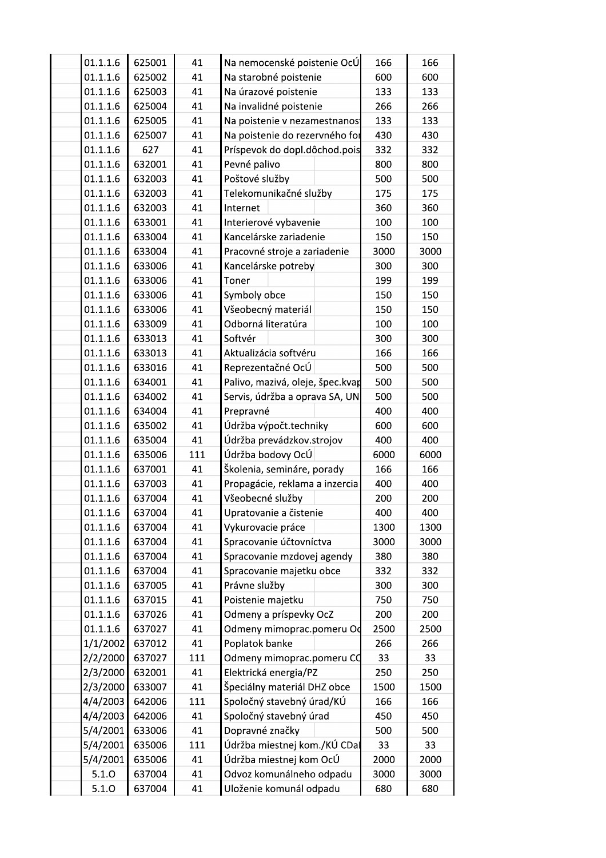|  | 01.1.1.6 | 625001 | 41  | Na nemocenské poistenie OcÚ      | 166  | 166  |
|--|----------|--------|-----|----------------------------------|------|------|
|  | 01.1.1.6 | 625002 | 41  | Na starobné poistenie            | 600  | 600  |
|  | 01.1.1.6 | 625003 | 41  | Na úrazové poistenie             | 133  | 133  |
|  | 01.1.1.6 | 625004 | 41  | Na invalidné poistenie           | 266  | 266  |
|  | 01.1.1.6 | 625005 | 41  | Na poistenie v nezamestnanos     | 133  | 133  |
|  | 01.1.1.6 | 625007 | 41  | Na poistenie do rezervného for   | 430  | 430  |
|  | 01.1.1.6 | 627    | 41  | Príspevok do dopl.dôchod.pois    | 332  | 332  |
|  | 01.1.1.6 | 632001 | 41  | Pevné palivo                     | 800  | 800  |
|  | 01.1.1.6 | 632003 | 41  | Poštové služby                   | 500  | 500  |
|  | 01.1.1.6 | 632003 | 41  | Telekomunikačné služby           | 175  | 175  |
|  | 01.1.1.6 | 632003 | 41  | Internet                         | 360  | 360  |
|  | 01.1.1.6 | 633001 | 41  | Interierové vybavenie            | 100  | 100  |
|  | 01.1.1.6 | 633004 | 41  | Kancelárske zariadenie           | 150  | 150  |
|  | 01.1.1.6 | 633004 | 41  | Pracovné stroje a zariadenie     | 3000 | 3000 |
|  | 01.1.1.6 | 633006 | 41  | Kancelárske potreby              | 300  | 300  |
|  | 01.1.1.6 | 633006 | 41  | Toner                            | 199  | 199  |
|  | 01.1.1.6 | 633006 | 41  | Symboly obce                     | 150  | 150  |
|  | 01.1.1.6 | 633006 | 41  | Všeobecný materiál               | 150  | 150  |
|  | 01.1.1.6 | 633009 | 41  | Odborná literatúra               | 100  | 100  |
|  | 01.1.1.6 | 633013 | 41  | Softvér                          | 300  | 300  |
|  | 01.1.1.6 | 633013 | 41  | Aktualizácia softvéru            | 166  | 166  |
|  | 01.1.1.6 | 633016 | 41  | Reprezentačné OcÚ                | 500  | 500  |
|  | 01.1.1.6 | 634001 | 41  | Palivo, mazivá, oleje, špec.kvap | 500  | 500  |
|  | 01.1.1.6 | 634002 | 41  | Servis, údržba a oprava SA, UN   | 500  | 500  |
|  | 01.1.1.6 | 634004 | 41  | Prepravné                        | 400  | 400  |
|  | 01.1.1.6 | 635002 | 41  | Údržba výpočt.techniky           | 600  | 600  |
|  | 01.1.1.6 | 635004 | 41  | Údržba prevádzkov.strojov        | 400  | 400  |
|  | 01.1.1.6 | 635006 | 111 | Údržba bodovy OcÚ                | 6000 | 6000 |
|  | 01.1.1.6 | 637001 | 41  | Školenia, semináre, porady       | 166  | 166  |
|  | 01.1.1.6 | 637003 | 41  | Propagácie, reklama a inzercia   | 400  | 400  |
|  | 01.1.1.6 | 637004 | 41  | Všeobecné služby                 | 200  | 200  |
|  | 01.1.1.6 | 637004 | 41  | Upratovanie a čistenie           | 400  | 400  |
|  | 01.1.1.6 | 637004 | 41  | Vykurovacie práce                | 1300 | 1300 |
|  | 01.1.1.6 | 637004 | 41  | Spracovanie účtovníctva          | 3000 | 3000 |
|  | 01.1.1.6 | 637004 | 41  | Spracovanie mzdovej agendy       | 380  | 380  |
|  | 01.1.1.6 | 637004 | 41  | Spracovanie majetku obce         | 332  | 332  |
|  | 01.1.1.6 | 637005 | 41  | Právne služby                    | 300  | 300  |
|  | 01.1.1.6 | 637015 | 41  | Poistenie majetku                | 750  | 750  |
|  | 01.1.1.6 | 637026 | 41  | Odmeny a príspevky OcZ           | 200  | 200  |
|  | 01.1.1.6 | 637027 | 41  | Odmeny mimoprac.pomeru Od        | 2500 | 2500 |
|  | 1/1/2002 | 637012 | 41  | Poplatok banke                   | 266  | 266  |
|  | 2/2/2000 | 637027 | 111 | Odmeny mimoprac.pomeru CO        | 33   | 33   |
|  | 2/3/2000 | 632001 | 41  | Elektrická energia/PZ            | 250  | 250  |
|  | 2/3/2000 | 633007 | 41  | Špeciálny materiál DHZ obce      | 1500 | 1500 |
|  | 4/4/2003 | 642006 | 111 | Spoločný stavebný úrad/KÚ        | 166  | 166  |
|  | 4/4/2003 | 642006 | 41  | Spoločný stavebný úrad           | 450  | 450  |
|  | 5/4/2001 | 633006 | 41  | Dopravné značky                  | 500  | 500  |
|  | 5/4/2001 | 635006 | 111 | Údržba miestnej kom./KÚ CDal     | 33   | 33   |
|  | 5/4/2001 | 635006 | 41  | Údržba miestnej kom OcÚ          | 2000 | 2000 |
|  | 5.1.0    | 637004 | 41  | Odvoz komunálneho odpadu         | 3000 | 3000 |
|  | 5.1.0    | 637004 | 41  | Uloženie komunál odpadu          | 680  | 680  |
|  |          |        |     |                                  |      |      |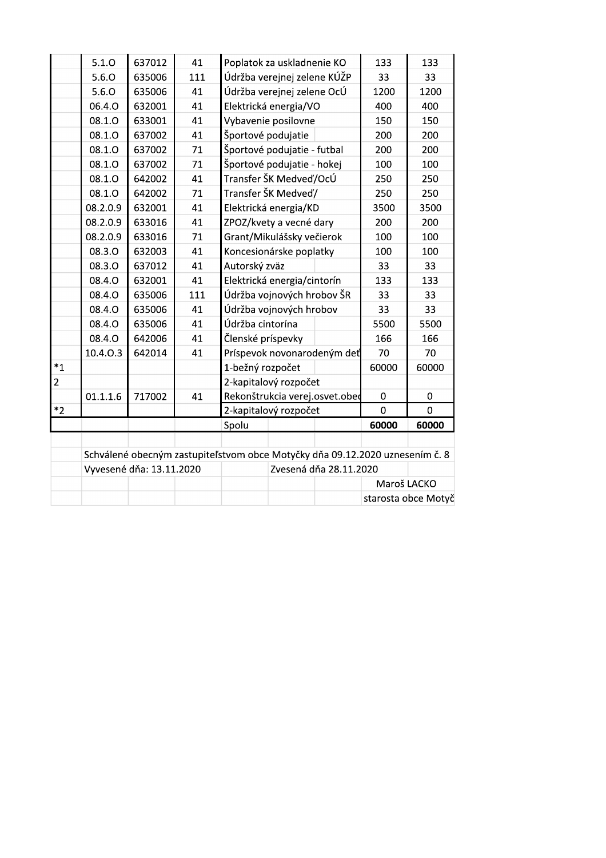|                | 5.1.0    | 637012                   | 41  | Poplatok za uskladnenie KO                                                   | 133            | 133                 |  |
|----------------|----------|--------------------------|-----|------------------------------------------------------------------------------|----------------|---------------------|--|
|                | 5.6.0    | 635006                   | 111 | Údržba verejnej zelene KÚŽP                                                  | 33             | 33                  |  |
|                | 5.6.0    | 635006                   | 41  | Údržba verejnej zelene OcÚ                                                   | 1200           | 1200                |  |
|                | 06.4.0   | 632001                   | 41  | Elektrická energia/VO                                                        | 400            | 400                 |  |
|                | 08.1.0   | 633001                   | 41  | Vybavenie posilovne                                                          | 150            | 150                 |  |
|                | 08.1.0   | 637002                   | 41  | Športové podujatie                                                           | 200            | 200                 |  |
|                | 08.1.0   | 637002                   | 71  | Športové podujatie - futbal                                                  | 200            | 200                 |  |
|                | 08.1.0   | 637002                   | 71  | Športové podujatie - hokej                                                   | 100            | 100                 |  |
|                | 08.1.0   | 642002                   | 41  | Transfer ŠK Medveď/OcÚ                                                       | 250            | 250                 |  |
|                | 08.1.0   | 642002                   | 71  | Transfer ŠK Medveď/                                                          | 250            | 250                 |  |
|                | 08.2.0.9 | 632001                   | 41  | Elektrická energia/KD                                                        | 3500           | 3500                |  |
|                | 08.2.0.9 | 633016                   | 41  | ZPOZ/kvety a vecné dary                                                      | 200            | 200                 |  |
|                | 08.2.0.9 | 633016                   | 71  | Grant/Mikulášsky večierok                                                    | 100            | 100                 |  |
|                | 08.3.0   | 632003                   | 41  | Koncesionárske poplatky                                                      | 100            | 100                 |  |
|                | 08.3.0   | 637012                   | 41  | Autorský zväz                                                                | 33             | 33                  |  |
|                | 08.4.0   | 632001                   | 41  | Elektrická energia/cintorín                                                  | 133            | 133                 |  |
|                | 08.4.0   | 635006                   | 111 | Údržba vojnových hrobov ŠR                                                   | 33             | 33                  |  |
|                | 08.4.0   | 635006                   | 41  | Údržba vojnových hrobov                                                      | 33             | 33                  |  |
|                | 08.4.0   | 635006                   | 41  | Údržba cintorína                                                             | 5500           | 5500                |  |
|                | 08.4.0   | 642006                   | 41  | Členské príspevky                                                            | 166            | 166                 |  |
|                | 10.4.0.3 | 642014                   | 41  | Príspevok novonarodeným deť                                                  | 70             | 70                  |  |
| $*_{1}$        |          |                          |     | 1-bežný rozpočet                                                             | 60000          | 60000               |  |
| $\overline{2}$ |          |                          |     | 2-kapitalový rozpočet                                                        |                |                     |  |
|                | 01.1.1.6 | 717002                   | 41  | Rekonštrukcia verej.osvet.obed                                               | $\pmb{0}$      | 0                   |  |
| $*2$           |          |                          |     | 2-kapitalový rozpočet                                                        | $\overline{0}$ | $\overline{0}$      |  |
|                |          |                          |     | Spolu                                                                        | 60000          | 60000               |  |
|                |          |                          |     |                                                                              |                |                     |  |
|                |          |                          |     | Schválené obecným zastupiteľstvom obce Motyčky dňa 09.12.2020 uznesením č. 8 |                |                     |  |
|                |          | Vyvesené dňa: 13.11.2020 |     | Zvesená dňa 28.11.2020                                                       |                |                     |  |
|                |          |                          |     |                                                                              | Maroš LACKO    |                     |  |
|                |          |                          |     |                                                                              |                | starosta obce Motyč |  |
|                |          |                          |     |                                                                              |                |                     |  |